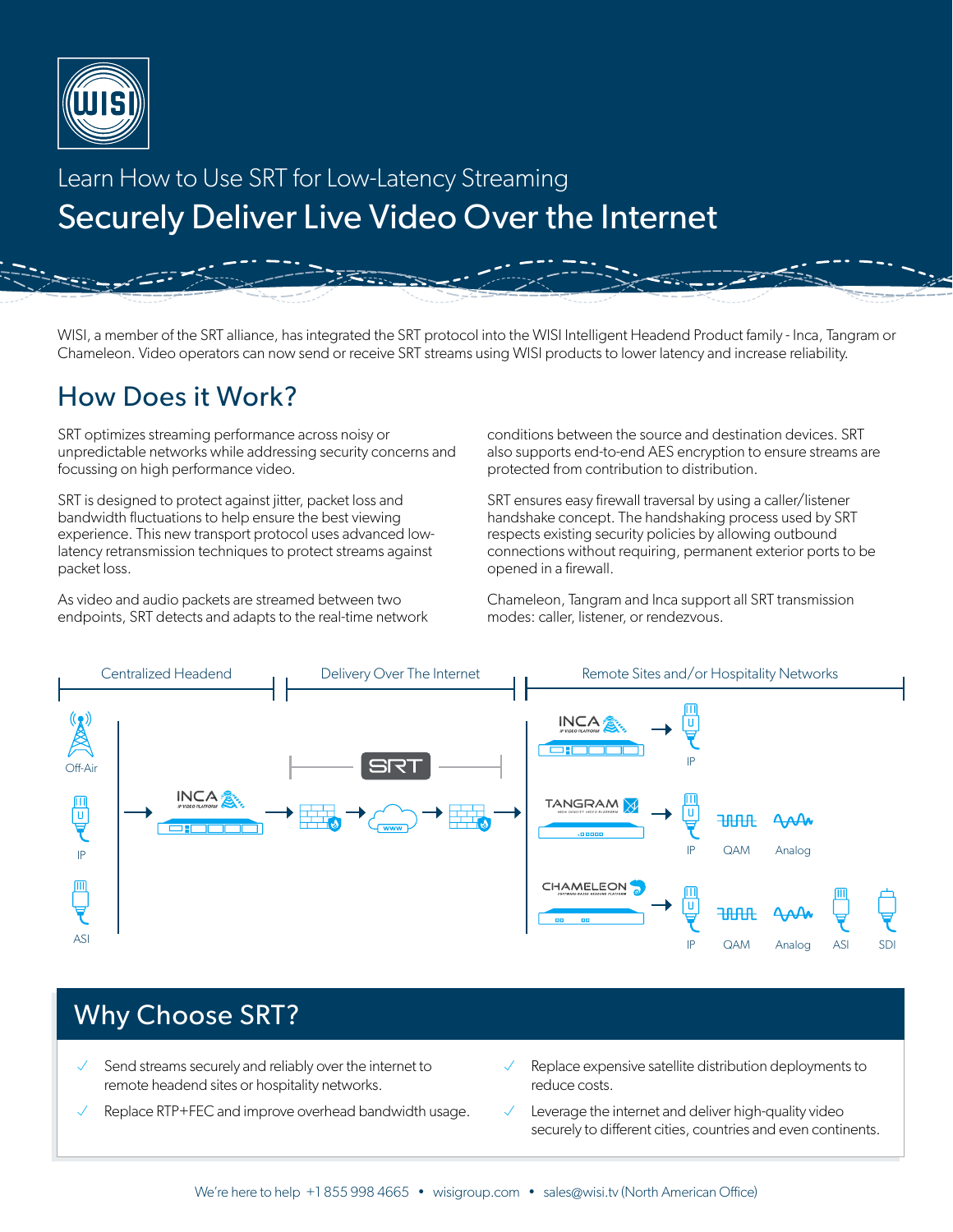

# Learn How to Use SRT for Low-Latency Streaming Securely Deliver Live Video Over the Internet

WISI, a member of the SRT alliance, has integrated the SRT protocol into the WISI Intelligent Headend Product family - Inca, Tangram or Chameleon. Video operators can now send or receive SRT streams using WISI products to lower latency and increase reliability.

### How Does it Work?

SRT optimizes streaming performance across noisy or unpredictable networks while addressing security concerns and focussing on high performance video.

SRT is designed to protect against jitter, packet loss and bandwidth fluctuations to help ensure the best viewing experience. This new transport protocol uses advanced lowlatency retransmission techniques to protect streams against packet loss.

As video and audio packets are streamed between two endpoints, SRT detects and adapts to the real-time network conditions between the source and destination devices. SRT also supports end-to-end AES encryption to ensure streams are protected from contribution to distribution.

SRT ensures easy firewall traversal by using a caller/listener handshake concept. The handshaking process used by SRT respects existing security policies by allowing outbound connections without requiring, permanent exterior ports to be opened in a firewall.

Chameleon, Tangram and Inca support all SRT transmission modes: caller, listener, or rendezvous.



### Why Choose SRT?

- Send streams securely and reliably over the internet to remote headend sites or hospitality networks.
- Replace RTP+FEC and improve overhead bandwidth usage.
- Replace expensive satellite distribution deployments to reduce costs.
- Leverage the internet and deliver high-quality video securely to different cities, countries and even continents.